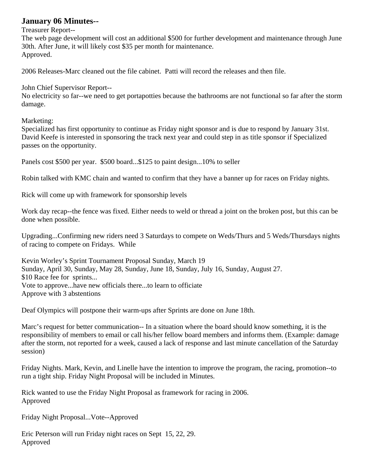# **January 06 Minutes--**

#### Treasurer Report--

The web page development will cost an additional \$500 for further development and maintenance through June 30th. After June, it will likely cost \$35 per month for maintenance. Approved.

2006 Releases-Marc cleaned out the file cabinet. Patti will record the releases and then file.

John Chief Supervisor Report--

No electricity so far--we need to get portapotties because the bathrooms are not functional so far after the storm damage.

Marketing:

Specialized has first opportunity to continue as Friday night sponsor and is due to respond by January 31st. David Keefe is interested in sponsoring the track next year and could step in as title sponsor if Specialized passes on the opportunity.

Panels cost \$500 per year. \$500 board...\$125 to paint design...10% to seller

Robin talked with KMC chain and wanted to confirm that they have a banner up for races on Friday nights.

Rick will come up with framework for sponsorship levels

Work day recap--the fence was fixed. Either needs to weld or thread a joint on the broken post, but this can be done when possible.

Upgrading...Confirming new riders need 3 Saturdays to compete on Weds/Thurs and 5 Weds/Thursdays nights of racing to compete on Fridays. While

Kevin Worley's Sprint Tournament Proposal Sunday, March 19 Sunday, April 30, Sunday, May 28, Sunday, June 18, Sunday, July 16, Sunday, August 27. \$10 Race fee for sprints... Vote to approve...have new officials there...to learn to officiate Approve with 3 abstentions

Deaf Olympics will postpone their warm-ups after Sprints are done on June 18th.

Marc's request for better communication-- In a situation where the board should know something, it is the responsibility of members to email or call his/her fellow board members and informs them. (Example: damage after the storm, not reported for a week, caused a lack of response and last minute cancellation of the Saturday session)

Friday Nights. Mark, Kevin, and Linelle have the intention to improve the program, the racing, promotion--to run a tight ship. Friday Night Proposal will be included in Minutes.

Rick wanted to use the Friday Night Proposal as framework for racing in 2006. Approved

Friday Night Proposal...Vote--Approved

Eric Peterson will run Friday night races on Sept 15, 22, 29. Approved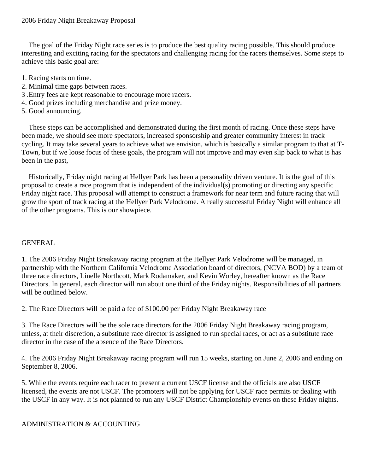The goal of the Friday Night race series is to produce the best quality racing possible. This should produce interesting and exciting racing for the spectators and challenging racing for the racers themselves. Some steps to achieve this basic goal are:

- 1. Racing starts on time.
- 2. Minimal time gaps between races.
- 3 .Entry fees are kept reasonable to encourage more racers.
- 4. Good prizes including merchandise and prize money.
- 5. Good announcing.

 These steps can be accomplished and demonstrated during the first month of racing. Once these steps have been made, we should see more spectators, increased sponsorship and greater community interest in track cycling. It may take several years to achieve what we envision, which is basically a similar program to that at T-Town, but if we loose focus of these goals, the program will not improve and may even slip back to what is has been in the past,

 Historically, Friday night racing at Hellyer Park has been a personality driven venture. It is the goal of this proposal to create a race program that is independent of the individual(s) promoting or directing any specific Friday night race. This proposal will attempt to construct a framework for near term and future racing that will grow the sport of track racing at the Hellyer Park Velodrome. A really successful Friday Night will enhance all of the other programs. This is our showpiece.

## GENERAL

1. The 2006 Friday Night Breakaway racing program at the Hellyer Park Velodrome will be managed, in partnership with the Northern California Velodrome Association board of directors, (NCVA BOD) by a team of three race directors, Linelle Northcott, Mark Rodamaker, and Kevin Worley, hereafter known as the Race Directors. In general, each director will run about one third of the Friday nights. Responsibilities of all partners will be outlined below.

2. The Race Directors will be paid a fee of \$100.00 per Friday Night Breakaway race

3. The Race Directors will be the sole race directors for the 2006 Friday Night Breakaway racing program, unless, at their discretion, a substitute race director is assigned to run special races, or act as a substitute race director in the case of the absence of the Race Directors.

4. The 2006 Friday Night Breakaway racing program will run 15 weeks, starting on June 2, 2006 and ending on September 8, 2006.

5. While the events require each racer to present a current USCF license and the officials are also USCF licensed, the events are not USCF. The promoters will not be applying for USCF race permits or dealing with the USCF in any way. It is not planned to run any USCF District Championship events on these Friday nights.

#### ADMINISTRATION & ACCOUNTING